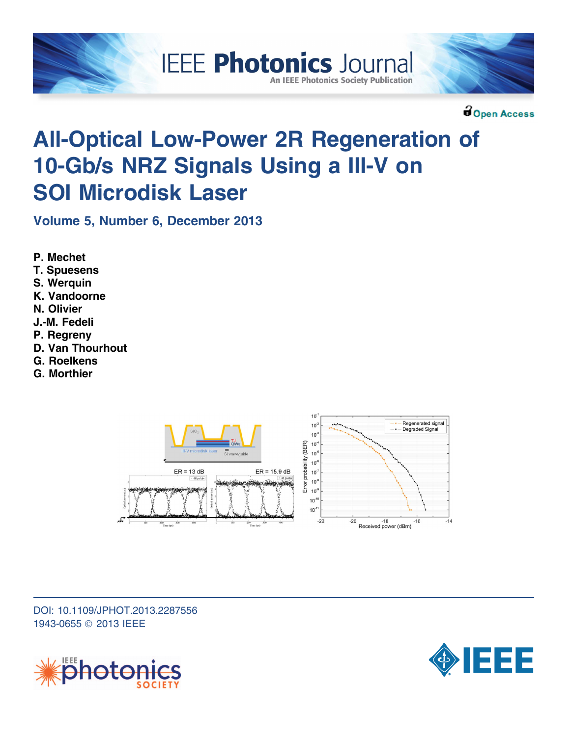



**Bopen Access** 

# All-Optical Low-Power 2R Regeneration of 10-Gb/s NRZ Signals Using a III-V on SOI Microdisk Laser

**IEEE Photonics Journal** 

**An IEEE Photonics Society Publication** 

Volume 5, Number 6, December 2013

- P. Mechet
- T. Spuesens
- S. Werauin
- K. Vandoorne
- N. Olivier
- J.-M. Fedeli
- P. Regreny
- D. Van Thourhout
- G. Roelkens
- G. Morthier



DOI: 10.1109/JPHOT.2013.2287556 1943-0655 © 2013 IEEE



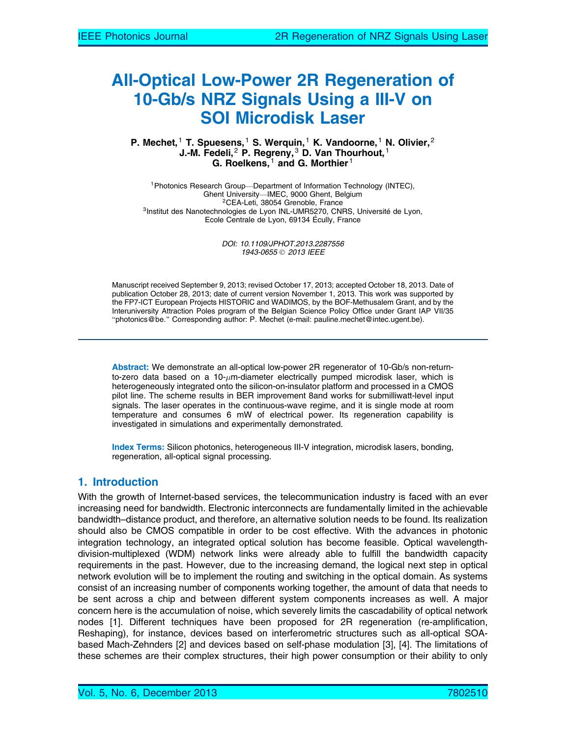# All-Optical Low-Power 2R Regeneration of 10-Gb/s NRZ Signals Using a III-V on SOI Microdisk Laser

#### P. Mechet, <sup>1</sup> T. Spuesens, <sup>1</sup> S. Werquin, <sup>1</sup> K. Vandoorne, <sup>1</sup> N. Olivier, <sup>2</sup> J.-M. Fedeli,<sup>2</sup> P. Regreny,<sup>3</sup> D. Van Thourhout,<sup>1</sup> G. Roelkens,  $1$  and G. Morthier  $1$

<sup>1</sup>Photonics Research Group--Department of Information Technology (INTEC),<br>Ghent University--IMEC, 9000 Ghent, Belgium <sup>2</sup>CEA-Leti, 38054 Grenoble, France <sup>3</sup><br>Institut des Nanotechnologies de Lyon INL-UMR5270, CNRS, Université de Lyon, Ecole Centrale de Lyon, 69134 Écully, France

> DOI: 10.1109/JPHOT.2013.2287556 1943-0655 © 2013 IEEE

Manuscript received September 9, 2013; revised October 17, 2013; accepted October 18, 2013. Date of publication October 28, 2013; date of current version November 1, 2013. This work was supported by the FP7-ICT European Projects HISTORIC and WADIMOS, by the BOF-Methusalem Grant, and by the Interuniversity Attraction Poles program of the Belgian Science Policy Office under Grant IAP VII/35 "photonics@be." Corresponding author: P. Mechet (e-mail: pauline.mechet@intec.ugent.be).

Abstract: We demonstrate an all-optical low-power 2R regenerator of 10-Gb/s non-returnto-zero data based on a 10- $\mu$ m-diameter electrically pumped microdisk laser, which is heterogeneously integrated onto the silicon-on-insulator platform and processed in a CMOS pilot line. The scheme results in BER improvement 8and works for submilliwatt-level input signals. The laser operates in the continuous-wave regime, and it is single mode at room temperature and consumes 6 mW of electrical power. Its regeneration capability is investigated in simulations and experimentally demonstrated.

Index Terms: Silicon photonics, heterogeneous III-V integration, microdisk lasers, bonding, regeneration, all-optical signal processing.

# 1. Introduction

With the growth of Internet-based services, the telecommunication industry is faced with an ever increasing need for bandwidth. Electronic interconnects are fundamentally limited in the achievable bandwidth–distance product, and therefore, an alternative solution needs to be found. Its realization should also be CMOS compatible in order to be cost effective. With the advances in photonic integration technology, an integrated optical solution has become feasible. Optical wavelengthdivision-multiplexed (WDM) network links were already able to fulfill the bandwidth capacity requirements in the past. However, due to the increasing demand, the logical next step in optical network evolution will be to implement the routing and switching in the optical domain. As systems consist of an increasing number of components working together, the amount of data that needs to be sent across a chip and between different system components increases as well. A major concern here is the accumulation of noise, which severely limits the cascadability of optical network nodes [1]. Different techniques have been proposed for 2R regeneration (re-amplification, Reshaping), for instance, devices based on interferometric structures such as all-optical SOAbased Mach-Zehnders [2] and devices based on self-phase modulation [3], [4]. The limitations of these schemes are their complex structures, their high power consumption or their ability to only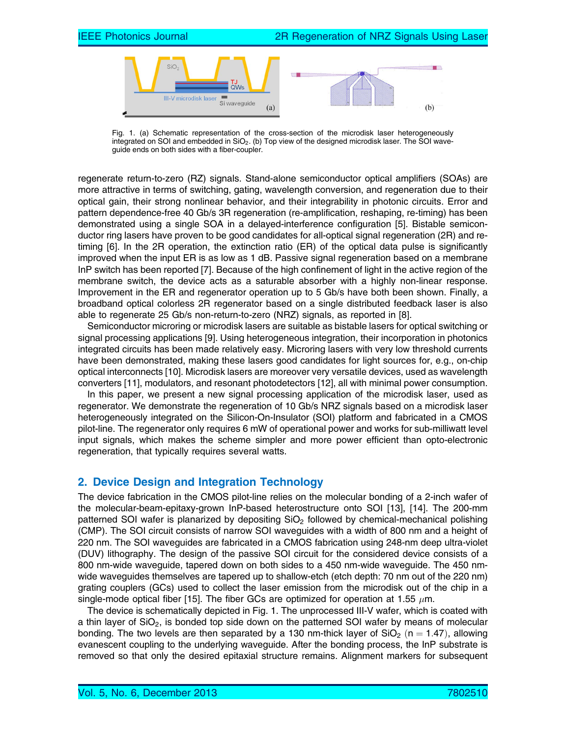

Fig. 1. (a) Schematic representation of the cross-section of the microdisk laser heterogeneously integrated on SOI and embedded in  $SiO<sub>2</sub>$ . (b) Top view of the designed microdisk laser. The SOI waveguide ends on both sides with a fiber-coupler.

regenerate return-to-zero (RZ) signals. Stand-alone semiconductor optical amplifiers (SOAs) are more attractive in terms of switching, gating, wavelength conversion, and regeneration due to their optical gain, their strong nonlinear behavior, and their integrability in photonic circuits. Error and pattern dependence-free 40 Gb/s 3R regeneration (re-amplification, reshaping, re-timing) has been demonstrated using a single SOA in a delayed-interference configuration [5]. Bistable semiconductor ring lasers have proven to be good candidates for all-optical signal regeneration (2R) and retiming [6]. In the 2R operation, the extinction ratio (ER) of the optical data pulse is significantly improved when the input ER is as low as 1 dB. Passive signal regeneration based on a membrane InP switch has been reported [7]. Because of the high confinement of light in the active region of the membrane switch, the device acts as a saturable absorber with a highly non-linear response. Improvement in the ER and regenerator operation up to 5 Gb/s have both been shown. Finally, a broadband optical colorless 2R regenerator based on a single distributed feedback laser is also able to regenerate 25 Gb/s non-return-to-zero (NRZ) signals, as reported in [8].

Semiconductor microring or microdisk lasers are suitable as bistable lasers for optical switching or signal processing applications [9]. Using heterogeneous integration, their incorporation in photonics integrated circuits has been made relatively easy. Microring lasers with very low threshold currents have been demonstrated, making these lasers good candidates for light sources for, e.g., on-chip optical interconnects [10]. Microdisk lasers are moreover very versatile devices, used as wavelength converters [11], modulators, and resonant photodetectors [12], all with minimal power consumption.

In this paper, we present a new signal processing application of the microdisk laser, used as regenerator. We demonstrate the regeneration of 10 Gb/s NRZ signals based on a microdisk laser heterogeneously integrated on the Silicon-On-Insulator (SOI) platform and fabricated in a CMOS pilot-line. The regenerator only requires 6 mW of operational power and works for sub-milliwatt level input signals, which makes the scheme simpler and more power efficient than opto-electronic regeneration, that typically requires several watts.

## 2. Device Design and Integration Technology

The device fabrication in the CMOS pilot-line relies on the molecular bonding of a 2-inch wafer of the molecular-beam-epitaxy-grown InP-based heterostructure onto SOI [13], [14]. The 200-mm patterned SOI wafer is planarized by depositing  $SiO<sub>2</sub>$  followed by chemical-mechanical polishing (CMP). The SOI circuit consists of narrow SOI waveguides with a width of 800 nm and a height of 220 nm. The SOI waveguides are fabricated in a CMOS fabrication using 248-nm deep ultra-violet (DUV) lithography. The design of the passive SOI circuit for the considered device consists of a 800 nm-wide waveguide, tapered down on both sides to a 450 nm-wide waveguide. The 450 nmwide waveguides themselves are tapered up to shallow-etch (etch depth: 70 nm out of the 220 nm) grating couplers (GCs) used to collect the laser emission from the microdisk out of the chip in a single-mode optical fiber [15]. The fiber GCs are optimized for operation at 1.55  $\mu$ m.

The device is schematically depicted in Fig. 1. The unprocessed III-V wafer, which is coated with a thin layer of  $SiO<sub>2</sub>$ , is bonded top side down on the patterned SOI wafer by means of molecular bonding. The two levels are then separated by a 130 nm-thick layer of  $SiO<sub>2</sub>$  (n = 1.47), allowing evanescent coupling to the underlying waveguide. After the bonding process, the InP substrate is removed so that only the desired epitaxial structure remains. Alignment markers for subsequent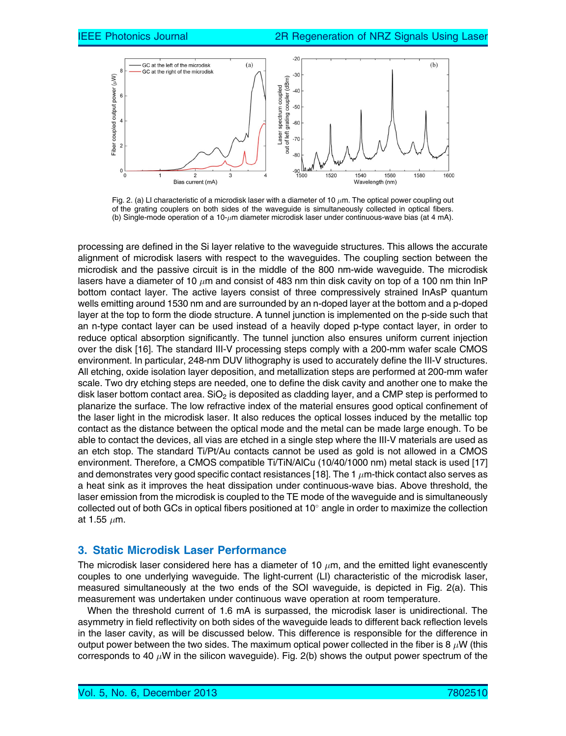

Fig. 2. (a) LI characteristic of a microdisk laser with a diameter of 10  $\mu$ m. The optical power coupling out of the grating couplers on both sides of the waveguide is simultaneously collected in optical fibers. (b) Single-mode operation of a 10- $\mu$ m diameter microdisk laser under continuous-wave bias (at 4 mA).

processing are defined in the Si layer relative to the waveguide structures. This allows the accurate alignment of microdisk lasers with respect to the waveguides. The coupling section between the microdisk and the passive circuit is in the middle of the 800 nm-wide waveguide. The microdisk lasers have a diameter of 10  $\mu$ m and consist of 483 nm thin disk cavity on top of a 100 nm thin InP bottom contact layer. The active layers consist of three compressively strained InAsP quantum wells emitting around 1530 nm and are surrounded by an n-doped layer at the bottom and a p-doped layer at the top to form the diode structure. A tunnel junction is implemented on the p-side such that an n-type contact layer can be used instead of a heavily doped p-type contact layer, in order to reduce optical absorption significantly. The tunnel junction also ensures uniform current injection over the disk [16]. The standard III-V processing steps comply with a 200-mm wafer scale CMOS environment. In particular, 248-nm DUV lithography is used to accurately define the III-V structures. All etching, oxide isolation layer deposition, and metallization steps are performed at 200-mm wafer scale. Two dry etching steps are needed, one to define the disk cavity and another one to make the disk laser bottom contact area.  $SiO<sub>2</sub>$  is deposited as cladding layer, and a CMP step is performed to planarize the surface. The low refractive index of the material ensures good optical confinement of the laser light in the microdisk laser. It also reduces the optical losses induced by the metallic top contact as the distance between the optical mode and the metal can be made large enough. To be able to contact the devices, all vias are etched in a single step where the III-V materials are used as an etch stop. The standard Ti/Pt/Au contacts cannot be used as gold is not allowed in a CMOS environment. Therefore, a CMOS compatible Ti/TiN/AlCu (10/40/1000 nm) metal stack is used [17] and demonstrates very good specific contact resistances [18]. The 1  $\mu$ m-thick contact also serves as a heat sink as it improves the heat dissipation under continuous-wave bias. Above threshold, the laser emission from the microdisk is coupled to the TE mode of the waveguide and is simultaneously collected out of both GCs in optical fibers positioned at  $10^{\circ}$  angle in order to maximize the collection at 1.55  $\mu$ m.

#### 3. Static Microdisk Laser Performance

The microdisk laser considered here has a diameter of 10  $\mu$ m, and the emitted light evanescently couples to one underlying waveguide. The light-current (LI) characteristic of the microdisk laser, measured simultaneously at the two ends of the SOI waveguide, is depicted in Fig. 2(a). This measurement was undertaken under continuous wave operation at room temperature.

When the threshold current of 1.6 mA is surpassed, the microdisk laser is unidirectional. The asymmetry in field reflectivity on both sides of the waveguide leads to different back reflection levels in the laser cavity, as will be discussed below. This difference is responsible for the difference in output power between the two sides. The maximum optical power collected in the fiber is 8  $\mu$ W (this corresponds to 40  $\mu$ W in the silicon waveguide). Fig. 2(b) shows the output power spectrum of the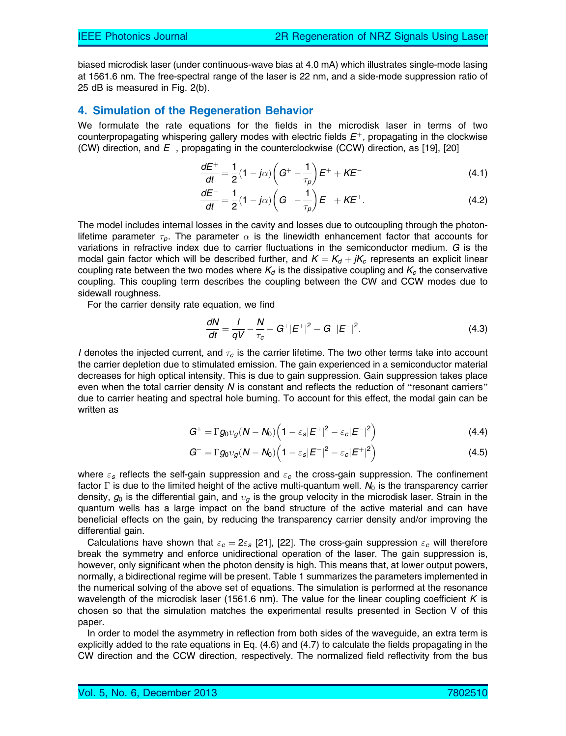biased microdisk laser (under continuous-wave bias at 4.0 mA) which illustrates single-mode lasing at 1561.6 nm. The free-spectral range of the laser is 22 nm, and a side-mode suppression ratio of 25 dB is measured in Fig. 2(b).

#### 4. Simulation of the Regeneration Behavior

We formulate the rate equations for the fields in the microdisk laser in terms of two counterpropagating whispering gallery modes with electric fields  $E^+$ , propagating in the clockwise (CW) direction, and  $E^-$ , propagating in the counterclockwise (CCW) direction, as [19], [20]

$$
\frac{dE^{+}}{dt} = \frac{1}{2}(1 - j\alpha)\left(G^{+} - \frac{1}{\tau_{p}}\right)E^{+} + KE^{-}
$$
\n(4.1)

$$
\frac{dE^{-}}{dt} = \frac{1}{2}(1 - j\alpha)\left(G^{-} - \frac{1}{\tau_p}\right)E^{-} + KE^{+}.
$$
 (4.2)

The model includes internal losses in the cavity and losses due to outcoupling through the photonlifetime parameter  $\tau_p$ . The parameter  $\alpha$  is the linewidth enhancement factor that accounts for variations in refractive index due to carrier fluctuations in the semiconductor medium. G is the modal gain factor which will be described further, and  $K = K_d + jK_c$  represents an explicit linear coupling rate between the two modes where  $K_d$  is the dissipative coupling and  $K_c$  the conservative coupling. This coupling term describes the coupling between the CW and CCW modes due to sidewall roughness.

For the carrier density rate equation, we find

$$
\frac{dN}{dt} = \frac{I}{qV} - \frac{N}{\tau_c} - G^+ |E^+|^2 - G^- |E^-|^2.
$$
 (4.3)

I denotes the injected current, and  $\tau_c$  is the carrier lifetime. The two other terms take into account the carrier depletion due to stimulated emission. The gain experienced in a semiconductor material decreases for high optical intensity. This is due to gain suppression. Gain suppression takes place even when the total carrier density  $N$  is constant and reflects the reduction of "resonant carriers" due to carrier heating and spectral hole burning. To account for this effect, the modal gain can be written as

$$
G^+ = \Gamma g_0 v_g (N - N_0) \left(1 - \varepsilon_s |E^+|^2 - \varepsilon_c |E^-|^2\right)
$$
\n(4.4)

$$
G^{-} = \Gamma g_0 v_g (N - N_0) \left( 1 - \varepsilon_s |E^{-}|^2 - \varepsilon_c |E^{+}|^2 \right)
$$
 (4.5)

where  $\varepsilon$ <sub>s</sub> reflects the self-gain suppression and  $\varepsilon$ <sub>c</sub> the cross-gain suppression. The confinement factor  $\Gamma$  is due to the limited height of the active multi-quantum well.  $N_0$  is the transparency carrier density,  $g_0$  is the differential gain, and  $v<sub>a</sub>$  is the group velocity in the microdisk laser. Strain in the quantum wells has a large impact on the band structure of the active material and can have beneficial effects on the gain, by reducing the transparency carrier density and/or improving the differential gain.

Calculations have shown that  $\varepsilon_c = 2\varepsilon_s$  [21], [22]. The cross-gain suppression  $\varepsilon_c$  will therefore break the symmetry and enforce unidirectional operation of the laser. The gain suppression is, however, only significant when the photon density is high. This means that, at lower output powers, normally, a bidirectional regime will be present. Table 1 summarizes the parameters implemented in the numerical solving of the above set of equations. The simulation is performed at the resonance wavelength of the microdisk laser (1561.6 nm). The value for the linear coupling coefficient  $K$  is chosen so that the simulation matches the experimental results presented in Section V of this paper.

In order to model the asymmetry in reflection from both sides of the waveguide, an extra term is explicitly added to the rate equations in Eq. (4.6) and (4.7) to calculate the fields propagating in the CW direction and the CCW direction, respectively. The normalized field reflectivity from the bus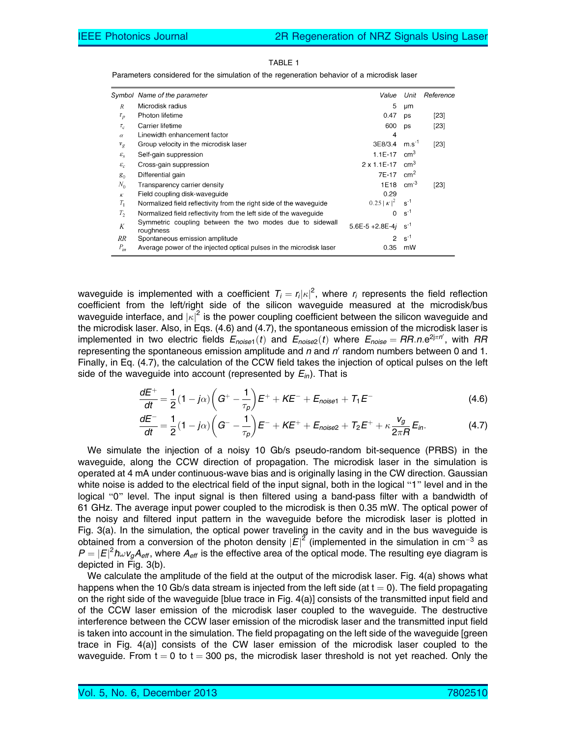|                 | Symbol Name of the parameter                                          | Value                  | Unit            | Reference |
|-----------------|-----------------------------------------------------------------------|------------------------|-----------------|-----------|
| R               | Microdisk radius                                                      | 5                      | μm              |           |
| $\tau_p$        | Photon lifetime                                                       | 0.47                   | ps              | $[23]$    |
| $\tau_c$        | Carrier lifetime                                                      | 600                    | ps              | $[23]$    |
| $\alpha$        | Linewidth enhancement factor                                          | 4                      |                 |           |
| $v_g$           | Group velocity in the microdisk laser                                 | 3E8/3.4                | $m.s^{-1}$      | $[23]$    |
| $\mathcal{E}_S$ | Self-gain suppression                                                 | $1.1E-17$              | cm <sup>3</sup> |           |
| $\varepsilon_c$ | Cross-gain suppression                                                | 2 x 1.1E-17            | cm <sup>3</sup> |           |
| $g_0$           | Differential gain                                                     | 7E-17                  | cm <sup>2</sup> |           |
| $N_0$           | Transparency carrier density                                          | 1E18                   | $cm-3$          | [23]      |
| K               | Field coupling disk-waveguide                                         | 0.29                   |                 |           |
| $T_1$           | Normalized field reflectivity from the right side of the waveguide    | $0.25  K ^2$           | $s^{-1}$        |           |
| $T_2$           | Normalized field reflectivity from the left side of the wavequide     | 0                      | $s^{-1}$        |           |
| K               | Symmetric coupling between the two modes due to sidewall<br>roughness | $5.6E - 5 + 2.8E - 4j$ | $S^{-1}$        |           |
| RR              | Spontaneous emission amplitude                                        | 2                      | $s^{-1}$        |           |
| $P_{in}$        | Average power of the injected optical pulses in the microdisk laser   | 0.35                   | mW              |           |

TABLE 1

Parameters considered for the simulation of the regeneration behavior of a microdisk laser

waveguide is implemented with a coefficient  $T_i = r_i |\kappa|^2$ , where  $r_i$  represents the field reflection coefficient from the left/right side of the silicon waveguide measured at the microdisk/bus waveguide interface, and  $|\kappa|^2$  is the power coupling coefficient between the silicon waveguide and the microdisk laser. Also, in Eqs. (4.6) and (4.7), the spontaneous emission of the microdisk laser is implemented in two electric fields  $E_{noise1}(t)$  and  $E_{noise2}(t)$  where  $E_{noise} = RR.n.e^{2j\pi n'}$ , with  $RR$ representing the spontaneous emission amplitude and  $n$  and  $n'$  random numbers between 0 and 1. Finally, in Eq. (4.7), the calculation of the CCW field takes the injection of optical pulses on the left side of the waveguide into account (represented by  $E_{in}$ ). That is

$$
\frac{dE^{+}}{dt} = \frac{1}{2}(1 - j\alpha)\left(G^{+} - \frac{1}{\tau_{p}}\right)E^{+} + KE^{-} + E_{noise1} + T_{1}E^{-}
$$
\n(4.6)

$$
\frac{dE^{-}}{dt} = \frac{1}{2}(1 - j\alpha)\left(G^{-} - \frac{1}{\tau_p}\right)E^{-} + KE^{+} + E_{noise2} + T_2E^{+} + \kappa \frac{v_g}{2\pi R}E_{in}.
$$
 (4.7)

We simulate the injection of a noisy 10 Gb/s pseudo-random bit-sequence (PRBS) in the waveguide, along the CCW direction of propagation. The microdisk laser in the simulation is operated at 4 mA under continuous-wave bias and is originally lasing in the CW direction. Gaussian white noise is added to the electrical field of the input signal, both in the logical "1" level and in the logical "0" level. The input signal is then filtered using a band-pass filter with a bandwidth of 61 GHz. The average input power coupled to the microdisk is then 0.35 mW. The optical power of the noisy and filtered input pattern in the waveguide before the microdisk laser is plotted in Fig. 3(a). In the simulation, the optical power traveling in the cavity and in the bus waveguide is obtained from a conversion of the photon density  $|E|^2$  (implemented in the simulation in cm<sup>-3</sup> as  $P=|E|^2\hbar\omega v_gA_{\text{eff}}$ , where  $A_{\text{eff}}$  is the effective area of the optical mode. The resulting eye diagram is depicted in Fig. 3(b).

We calculate the amplitude of the field at the output of the microdisk laser. Fig. 4(a) shows what happens when the 10 Gb/s data stream is injected from the left side (at  $t = 0$ ). The field propagating on the right side of the waveguide [blue trace in Fig. 4(a)] consists of the transmitted input field and of the CCW laser emission of the microdisk laser coupled to the waveguide. The destructive interference between the CCW laser emission of the microdisk laser and the transmitted input field is taken into account in the simulation. The field propagating on the left side of the waveguide [green trace in Fig. 4(a)] consists of the CW laser emission of the microdisk laser coupled to the waveguide. From  $t = 0$  to  $t = 300$  ps, the microdisk laser threshold is not yet reached. Only the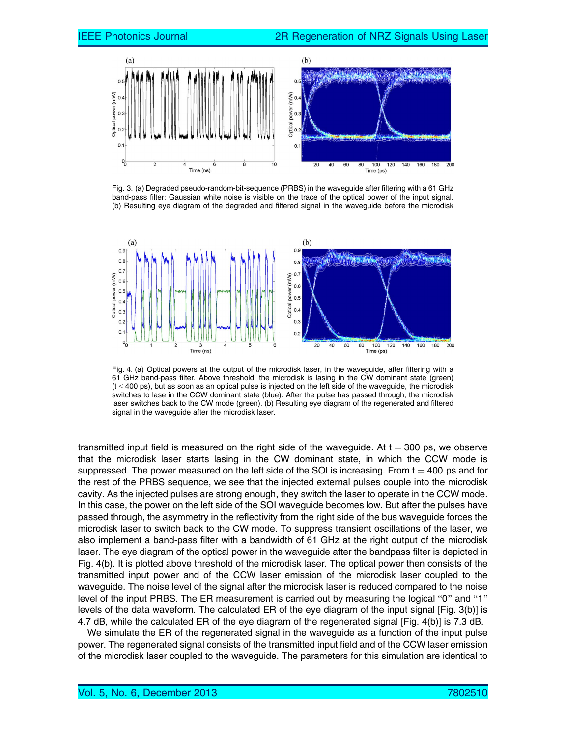

Fig. 3. (a) Degraded pseudo-random-bit-sequence (PRBS) in the waveguide after filtering with a 61 GHz band-pass filter: Gaussian white noise is visible on the trace of the optical power of the input signal. (b) Resulting eye diagram of the degraded and filtered signal in the waveguide before the microdisk



Fig. 4. (a) Optical powers at the output of the microdisk laser, in the waveguide, after filtering with a 61 GHz band-pass filter. Above threshold, the microdisk is lasing in the CW dominant state (green)  $(t < 400 \text{ ps})$ , but as soon as an optical pulse is injected on the left side of the waveguide, the microdisk switches to lase in the CCW dominant state (blue). After the pulse has passed through, the microdisk laser switches back to the CW mode (green). (b) Resulting eye diagram of the regenerated and filtered signal in the waveguide after the microdisk laser.

transmitted input field is measured on the right side of the waveguide. At  $t = 300$  ps, we observe that the microdisk laser starts lasing in the CW dominant state, in which the CCW mode is suppressed. The power measured on the left side of the SOI is increasing. From  $t = 400$  ps and for the rest of the PRBS sequence, we see that the injected external pulses couple into the microdisk cavity. As the injected pulses are strong enough, they switch the laser to operate in the CCW mode. In this case, the power on the left side of the SOI waveguide becomes low. But after the pulses have passed through, the asymmetry in the reflectivity from the right side of the bus waveguide forces the microdisk laser to switch back to the CW mode. To suppress transient oscillations of the laser, we also implement a band-pass filter with a bandwidth of 61 GHz at the right output of the microdisk laser. The eye diagram of the optical power in the waveguide after the bandpass filter is depicted in Fig. 4(b). It is plotted above threshold of the microdisk laser. The optical power then consists of the transmitted input power and of the CCW laser emission of the microdisk laser coupled to the waveguide. The noise level of the signal after the microdisk laser is reduced compared to the noise level of the input PRBS. The ER measurement is carried out by measuring the logical "0" and "1" levels of the data waveform. The calculated ER of the eye diagram of the input signal [Fig. 3(b)] is 4.7 dB, while the calculated ER of the eye diagram of the regenerated signal [Fig. 4(b)] is 7.3 dB.

We simulate the ER of the regenerated signal in the waveguide as a function of the input pulse power. The regenerated signal consists of the transmitted input field and of the CCW laser emission of the microdisk laser coupled to the waveguide. The parameters for this simulation are identical to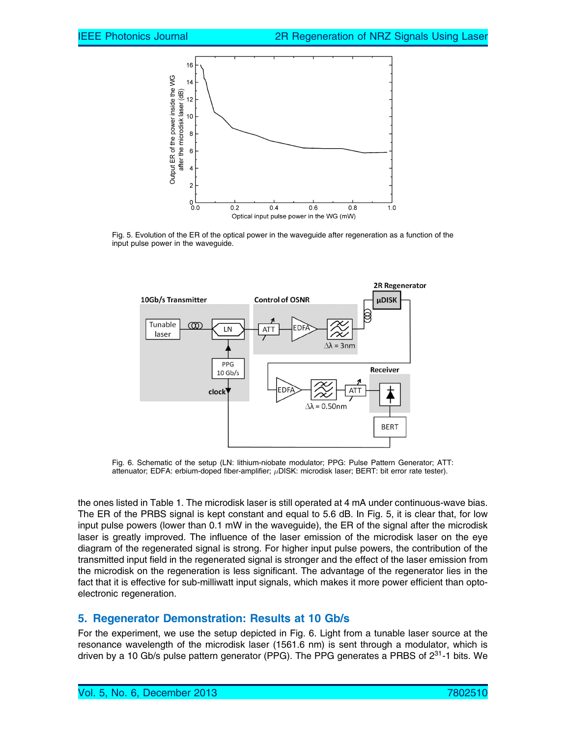

Fig. 5. Evolution of the ER of the optical power in the waveguide after regeneration as a function of the input pulse power in the waveguide.



Fig. 6. Schematic of the setup (LN: lithium-niobate modulator; PPG: Pulse Pattern Generator; ATT: attenuator; EDFA: erbium-doped fiber-amplifier;  $\mu$ DISK: microdisk laser; BERT: bit error rate tester).

the ones listed in Table 1. The microdisk laser is still operated at 4 mA under continuous-wave bias. The ER of the PRBS signal is kept constant and equal to 5.6 dB. In Fig. 5, it is clear that, for low input pulse powers (lower than 0.1 mW in the waveguide), the ER of the signal after the microdisk laser is greatly improved. The influence of the laser emission of the microdisk laser on the eye diagram of the regenerated signal is strong. For higher input pulse powers, the contribution of the transmitted input field in the regenerated signal is stronger and the effect of the laser emission from the microdisk on the regeneration is less significant. The advantage of the regenerator lies in the fact that it is effective for sub-milliwatt input signals, which makes it more power efficient than optoelectronic regeneration.

## 5. Regenerator Demonstration: Results at 10 Gb/s

For the experiment, we use the setup depicted in Fig. 6. Light from a tunable laser source at the resonance wavelength of the microdisk laser (1561.6 nm) is sent through a modulator, which is driven by a 10 Gb/s pulse pattern generator (PPG). The PPG generates a PRBS of  $2^{31}$ -1 bits. We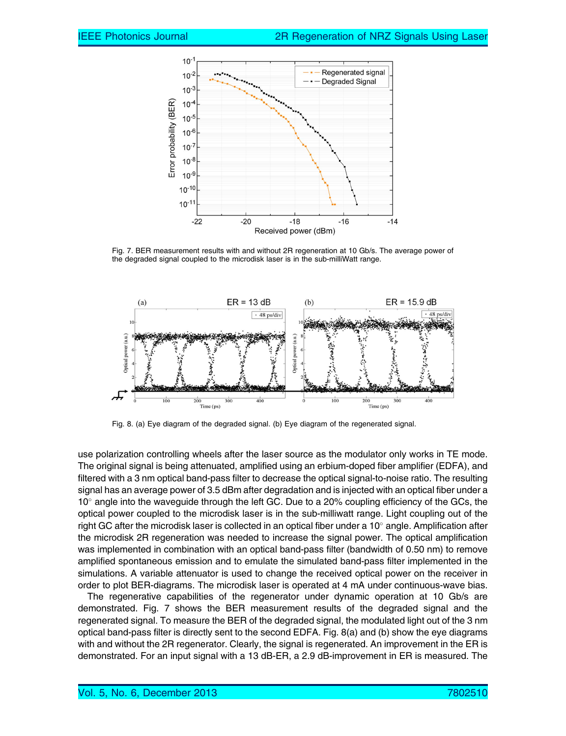

Fig. 7. BER measurement results with and without 2R regeneration at 10 Gb/s. The average power of the degraded signal coupled to the microdisk laser is in the sub-milliWatt range.



Fig. 8. (a) Eye diagram of the degraded signal. (b) Eye diagram of the regenerated signal.

use polarization controlling wheels after the laser source as the modulator only works in TE mode. The original signal is being attenuated, amplified using an erbium-doped fiber amplifier (EDFA), and filtered with a 3 nm optical band-pass filter to decrease the optical signal-to-noise ratio. The resulting signal has an average power of 3.5 dBm after degradation and is injected with an optical fiber under a 10° angle into the waveguide through the left GC. Due to a 20% coupling efficiency of the GCs, the optical power coupled to the microdisk laser is in the sub-milliwatt range. Light coupling out of the right GC after the microdisk laser is collected in an optical fiber under a 10 $^{\circ}$  angle. Amplification after the microdisk 2R regeneration was needed to increase the signal power. The optical amplification was implemented in combination with an optical band-pass filter (bandwidth of 0.50 nm) to remove amplified spontaneous emission and to emulate the simulated band-pass filter implemented in the simulations. A variable attenuator is used to change the received optical power on the receiver in order to plot BER-diagrams. The microdisk laser is operated at 4 mA under continuous-wave bias.

The regenerative capabilities of the regenerator under dynamic operation at 10 Gb/s are demonstrated. Fig. 7 shows the BER measurement results of the degraded signal and the regenerated signal. To measure the BER of the degraded signal, the modulated light out of the 3 nm optical band-pass filter is directly sent to the second EDFA. Fig. 8(a) and (b) show the eye diagrams with and without the 2R regenerator. Clearly, the signal is regenerated. An improvement in the ER is demonstrated. For an input signal with a 13 dB-ER, a 2.9 dB-improvement in ER is measured. The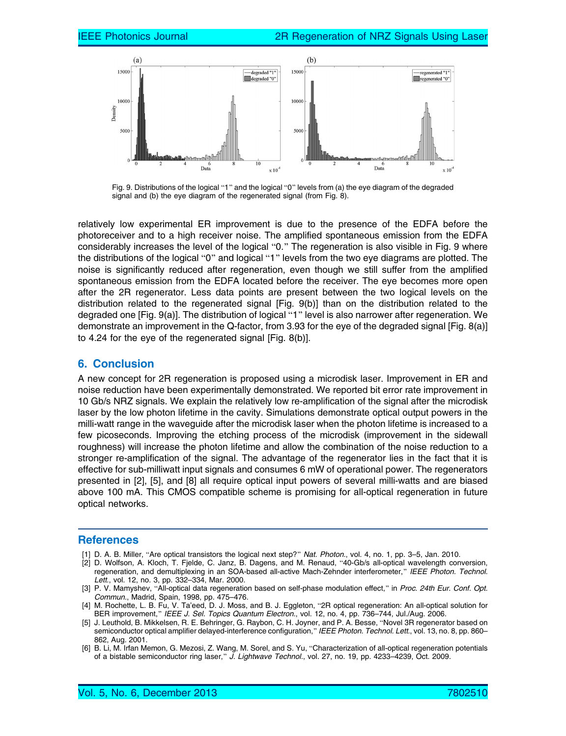

Fig. 9. Distributions of the logical "1" and the logical "0" levels from (a) the eye diagram of the degraded signal and (b) the eye diagram of the regenerated signal (from Fig. 8).

relatively low experimental ER improvement is due to the presence of the EDFA before the photoreceiver and to a high receiver noise. The amplified spontaneous emission from the EDFA considerably increases the level of the logical "0." The regeneration is also visible in Fig. 9 where the distributions of the logical "0" and logical "1" levels from the two eye diagrams are plotted. The noise is significantly reduced after regeneration, even though we still suffer from the amplified spontaneous emission from the EDFA located before the receiver. The eye becomes more open after the 2R regenerator. Less data points are present between the two logical levels on the distribution related to the regenerated signal [Fig. 9(b)] than on the distribution related to the degraded one [Fig. 9(a)]. The distribution of logical "1" level is also narrower after regeneration. We demonstrate an improvement in the Q-factor, from 3.93 for the eye of the degraded signal [Fig. 8(a)] to 4.24 for the eye of the regenerated signal [Fig. 8(b)].

#### 6. Conclusion

A new concept for 2R regeneration is proposed using a microdisk laser. Improvement in ER and noise reduction have been experimentally demonstrated. We reported bit error rate improvement in 10 Gb/s NRZ signals. We explain the relatively low re-amplification of the signal after the microdisk laser by the low photon lifetime in the cavity. Simulations demonstrate optical output powers in the milli-watt range in the waveguide after the microdisk laser when the photon lifetime is increased to a few picoseconds. Improving the etching process of the microdisk (improvement in the sidewall roughness) will increase the photon lifetime and allow the combination of the noise reduction to a stronger re-amplification of the signal. The advantage of the regenerator lies in the fact that it is effective for sub-milliwatt input signals and consumes 6 mW of operational power. The regenerators presented in [2], [5], and [8] all require optical input powers of several milli-watts and are biased above 100 mA. This CMOS compatible scheme is promising for all-optical regeneration in future optical networks.

#### References

- [1] D. A. B. Miller, "Are optical transistors the logical next step?" Nat. Photon., vol. 4, no. 1, pp. 3–5, Jan. 2010.
- [2] D. Wolfson, A. Kloch, T. Fjelde, C. Janz, B. Dagens, and M. Renaud, "40-Gb/s all-optical wavelength conversion, regeneration, and demultiplexing in an SOA-based all-active Mach-Zehnder interferometer," IEEE Photon. Technol. Lett., vol. 12, no. 3, pp. 332–334, Mar. 2000.
- [3] P. V. Mamyshev, "All-optical data regeneration based on self-phase modulation effect," in Proc. 24th Eur. Conf. Opt. Commun., Madrid, Spain, 1998, pp. 475–476.
- [4] M. Rochette, L. B. Fu, V. Ta'eed, D. J. Moss, and B. J. Eggleton, "2R optical regeneration: An all-optical solution for BER improvement," IEEE J. Sel. Topics Quantum Electron., vol. 12, no. 4, pp. 736–744, Jul./Aug. 2006.
- [5] J. Leuthold, B. Mikkelsen, R. E. Behringer, G. Raybon, C. H. Joyner, and P. A. Besse, "Novel 3R regenerator based on semiconductor optical amplifier delayed-interference configuration," IEEE Photon. Technol. Lett., vol. 13, no. 8, pp. 860– 862, Aug. 2001.
- [6] B. Li, M. Irfan Memon, G. Mezosi, Z. Wang, M. Sorel, and S. Yu, "Characterization of all-optical regeneration potentials of a bistable semiconductor ring laser," J. Lightwave Technol., vol. 27, no. 19, pp. 4233-4239, Oct. 2009.